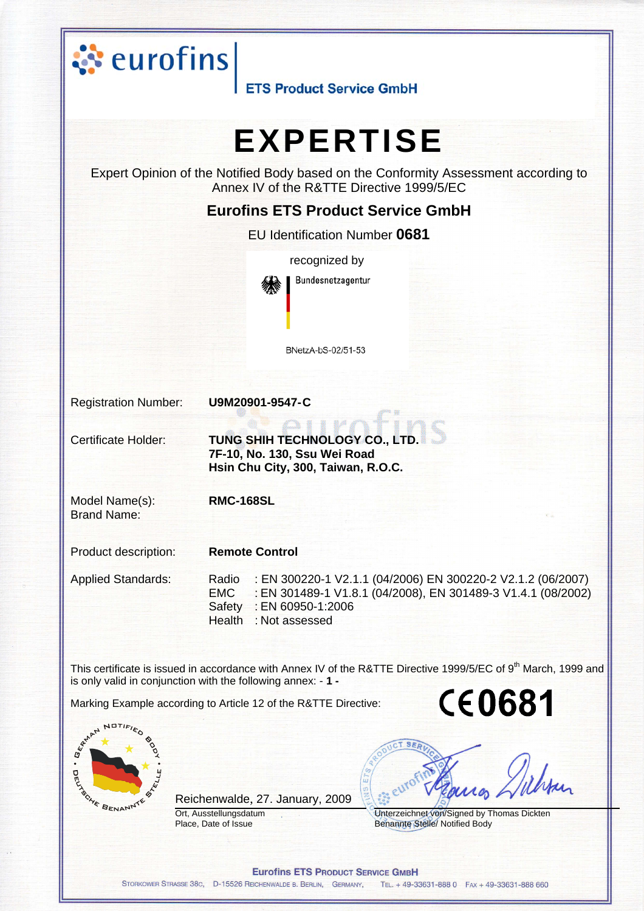



Reichenwalde, 27. January, 2009

Ort, Ausstellungsdatum Place, Date of Issue



Unterzeichnet von/Signed by Thomas Dickten Benannte Stelle/ Notified Body

**Eurofins ETS PRODUCT SERVICE GMBH** 

STORKOWER STRASSE 38c, D-15526 REICHENWALDE B. BERLIN, GERMANY, TEL. + 49-33631-888 0 FAX + 49-33631-888 660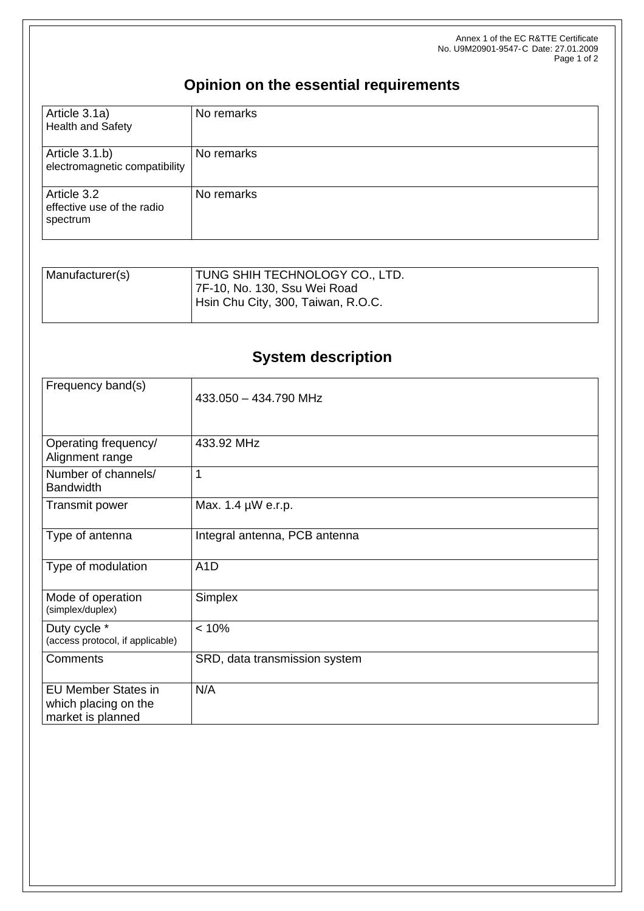Annex 1 of the EC R&TTE Certificate No. U9M20901-9547-C Date: 27.01.2009 Page 1 of 2

## **Opinion on the essential requirements**

| Article 3.1a)<br><b>Health and Safety</b>             | No remarks |
|-------------------------------------------------------|------------|
| Article 3.1.b)<br>electromagnetic compatibility       | No remarks |
| Article 3.2<br>effective use of the radio<br>spectrum | No remarks |

| Manufacturer(s) | <b>TUNG SHIH TECHNOLOGY CO., LTD.</b> |
|-----------------|---------------------------------------|
|                 | 7F-10, No. 130, Ssu Wei Road          |
|                 | Hsin Chu City, 300, Taiwan, R.O.C.    |
|                 |                                       |

## **System description**

| Frequency band(s)                                                       | 433.050 - 434.790 MHz         |
|-------------------------------------------------------------------------|-------------------------------|
| Operating frequency/<br>Alignment range                                 | 433.92 MHz                    |
| Number of channels/<br><b>Bandwidth</b>                                 | 1                             |
| Transmit power                                                          | Max. 1.4 µW e.r.p.            |
| Type of antenna                                                         | Integral antenna, PCB antenna |
| Type of modulation                                                      | A <sub>1</sub> D              |
| Mode of operation<br>(simplex/duplex)                                   | Simplex                       |
| Duty cycle *<br>(access protocol, if applicable)                        | < 10%                         |
| Comments                                                                | SRD, data transmission system |
| <b>EU Member States in</b><br>which placing on the<br>market is planned | N/A                           |